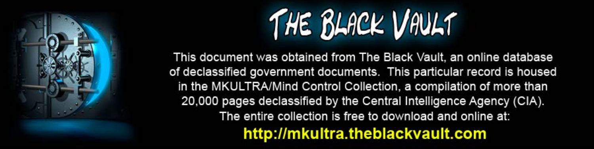

This document was obtained from The Black Vault, an online database of declassified government documents. This particular record is housed in the MKULTRA/Mind Control Collection, a compilation of more than 20,000 pages declassified by the Central Intelligence Agency (CIA). The entire collection is free to download and online at: http://mkultra.theblackvault.com